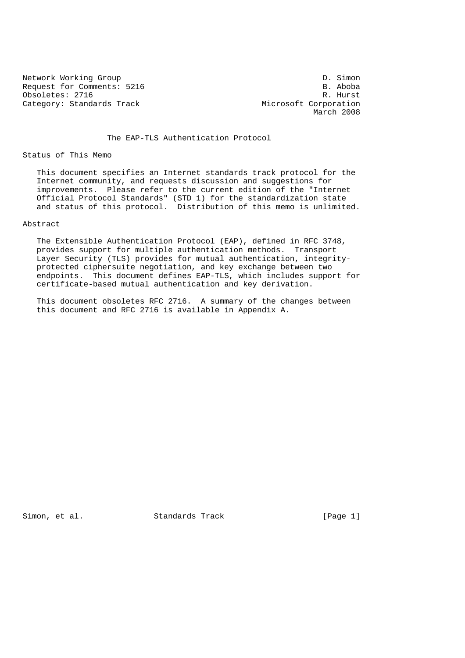Network Working Group<br>Request for Comments: 5216 B. Aboba Request for Comments: 5216 B. Aboba<br>
Obsoletes: 2716 B. Aboba Obsoletes: 2716 Category: Standards Track Microsoft Corporation

March 2008

The EAP-TLS Authentication Protocol

Status of This Memo

 This document specifies an Internet standards track protocol for the Internet community, and requests discussion and suggestions for improvements. Please refer to the current edition of the "Internet Official Protocol Standards" (STD 1) for the standardization state and status of this protocol. Distribution of this memo is unlimited.

## Abstract

 The Extensible Authentication Protocol (EAP), defined in RFC 3748, provides support for multiple authentication methods. Transport Layer Security (TLS) provides for mutual authentication, integrity protected ciphersuite negotiation, and key exchange between two endpoints. This document defines EAP-TLS, which includes support for certificate-based mutual authentication and key derivation.

 This document obsoletes RFC 2716. A summary of the changes between this document and RFC 2716 is available in Appendix A.

Simon, et al. Standards Track [Page 1]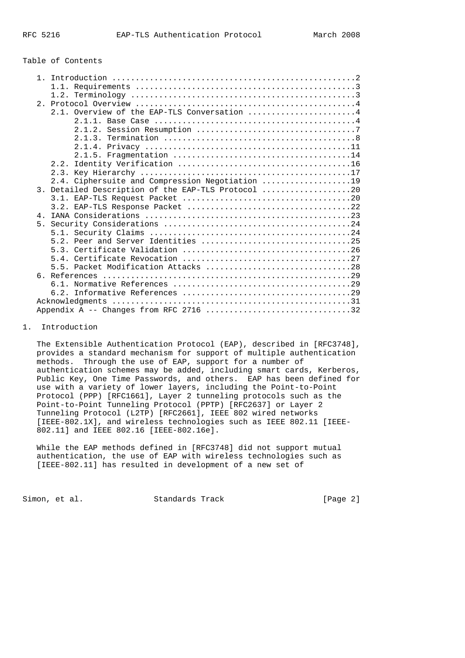#### Table of Contents

|                | 2.1. Overview of the EAP-TLS Conversation 4        |
|----------------|----------------------------------------------------|
|                |                                                    |
|                |                                                    |
|                |                                                    |
|                |                                                    |
|                |                                                    |
|                |                                                    |
|                |                                                    |
|                | 2.4. Ciphersuite and Compression Negotiation 19    |
|                | 3. Detailed Description of the EAP-TLS Protocol 20 |
|                |                                                    |
|                |                                                    |
| 4 <sub>1</sub> |                                                    |
|                |                                                    |
|                |                                                    |
|                | 5.2. Peer and Server Identities 25                 |
|                |                                                    |
|                |                                                    |
|                |                                                    |
|                |                                                    |
|                |                                                    |
|                |                                                    |
|                |                                                    |
|                |                                                    |
|                | Appendix A -- Changes from RFC 2716 32             |

## 1. Introduction

 The Extensible Authentication Protocol (EAP), described in [RFC3748], provides a standard mechanism for support of multiple authentication methods. Through the use of EAP, support for a number of authentication schemes may be added, including smart cards, Kerberos, Public Key, One Time Passwords, and others. EAP has been defined for use with a variety of lower layers, including the Point-to-Point Protocol (PPP) [RFC1661], Layer 2 tunneling protocols such as the Point-to-Point Tunneling Protocol (PPTP) [RFC2637] or Layer 2 Tunneling Protocol (L2TP) [RFC2661], IEEE 802 wired networks [IEEE-802.1X], and wireless technologies such as IEEE 802.11 [IEEE- 802.11] and IEEE 802.16 [IEEE-802.16e].

 While the EAP methods defined in [RFC3748] did not support mutual authentication, the use of EAP with wireless technologies such as [IEEE-802.11] has resulted in development of a new set of

Simon, et al. Standards Track [Page 2]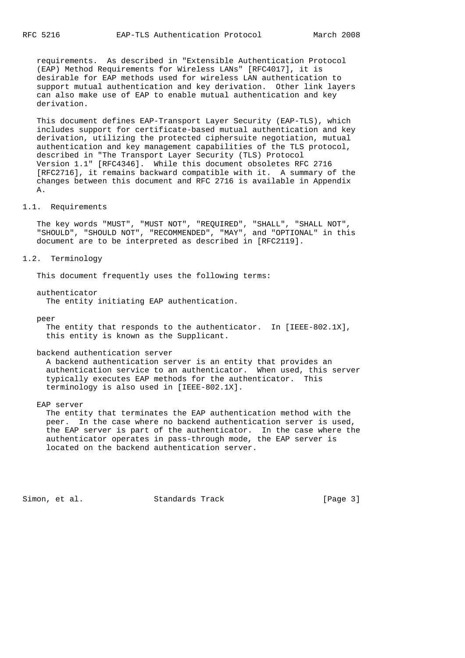requirements. As described in "Extensible Authentication Protocol (EAP) Method Requirements for Wireless LANs" [RFC4017], it is desirable for EAP methods used for wireless LAN authentication to support mutual authentication and key derivation. Other link layers can also make use of EAP to enable mutual authentication and key derivation.

 This document defines EAP-Transport Layer Security (EAP-TLS), which includes support for certificate-based mutual authentication and key derivation, utilizing the protected ciphersuite negotiation, mutual authentication and key management capabilities of the TLS protocol, described in "The Transport Layer Security (TLS) Protocol Version 1.1" [RFC4346]. While this document obsoletes RFC 2716 [RFC2716], it remains backward compatible with it. A summary of the changes between this document and RFC 2716 is available in Appendix A.

#### 1.1. Requirements

 The key words "MUST", "MUST NOT", "REQUIRED", "SHALL", "SHALL NOT", "SHOULD", "SHOULD NOT", "RECOMMENDED", "MAY", and "OPTIONAL" in this document are to be interpreted as described in [RFC2119].

# 1.2. Terminology

This document frequently uses the following terms:

authenticator

The entity initiating EAP authentication.

peer

 The entity that responds to the authenticator. In [IEEE-802.1X], this entity is known as the Supplicant.

#### backend authentication server

 A backend authentication server is an entity that provides an authentication service to an authenticator. When used, this server typically executes EAP methods for the authenticator. This terminology is also used in [IEEE-802.1X].

EAP server

 The entity that terminates the EAP authentication method with the peer. In the case where no backend authentication server is used, the EAP server is part of the authenticator. In the case where the authenticator operates in pass-through mode, the EAP server is located on the backend authentication server.

Simon, et al. Standards Track [Page 3]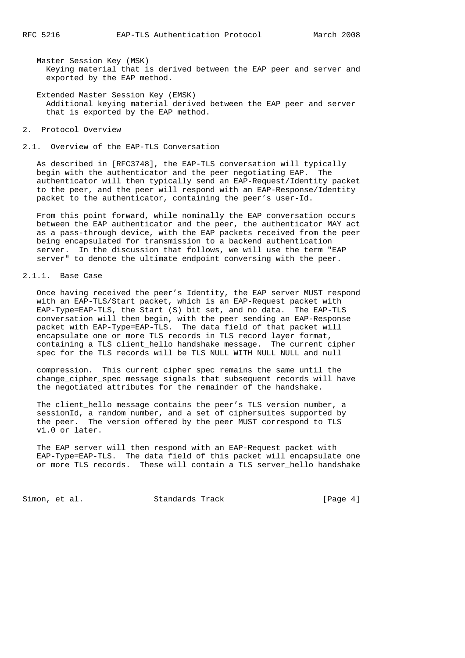Master Session Key (MSK) Keying material that is derived between the EAP peer and server and exported by the EAP method.

 Extended Master Session Key (EMSK) Additional keying material derived between the EAP peer and server that is exported by the EAP method.

2. Protocol Overview

2.1. Overview of the EAP-TLS Conversation

 As described in [RFC3748], the EAP-TLS conversation will typically begin with the authenticator and the peer negotiating EAP. The authenticator will then typically send an EAP-Request/Identity packet to the peer, and the peer will respond with an EAP-Response/Identity packet to the authenticator, containing the peer's user-Id.

 From this point forward, while nominally the EAP conversation occurs between the EAP authenticator and the peer, the authenticator MAY act as a pass-through device, with the EAP packets received from the peer being encapsulated for transmission to a backend authentication server. In the discussion that follows, we will use the term "EAP server" to denote the ultimate endpoint conversing with the peer.

#### 2.1.1. Base Case

 Once having received the peer's Identity, the EAP server MUST respond with an EAP-TLS/Start packet, which is an EAP-Request packet with EAP-Type=EAP-TLS, the Start (S) bit set, and no data. The EAP-TLS conversation will then begin, with the peer sending an EAP-Response packet with EAP-Type=EAP-TLS. The data field of that packet will encapsulate one or more TLS records in TLS record layer format, containing a TLS client\_hello handshake message. The current cipher spec for the TLS records will be TLS\_NULL\_WITH\_NULL\_NULL and null

 compression. This current cipher spec remains the same until the change\_cipher\_spec message signals that subsequent records will have the negotiated attributes for the remainder of the handshake.

 The client\_hello message contains the peer's TLS version number, a sessionId, a random number, and a set of ciphersuites supported by the peer. The version offered by the peer MUST correspond to TLS v1.0 or later.

 The EAP server will then respond with an EAP-Request packet with EAP-Type=EAP-TLS. The data field of this packet will encapsulate one or more TLS records. These will contain a TLS server\_hello handshake

Simon, et al. Standards Track [Page 4]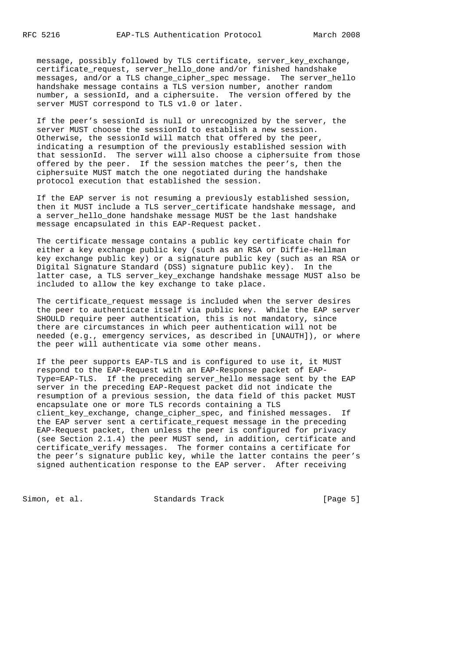message, possibly followed by TLS certificate, server\_key\_exchange, certificate\_request, server\_hello\_done and/or finished handshake messages, and/or a TLS change\_cipher\_spec message. The server\_hello handshake message contains a TLS version number, another random number, a sessionId, and a ciphersuite. The version offered by the server MUST correspond to TLS v1.0 or later.

 If the peer's sessionId is null or unrecognized by the server, the server MUST choose the sessionId to establish a new session. Otherwise, the sessionId will match that offered by the peer, indicating a resumption of the previously established session with that sessionId. The server will also choose a ciphersuite from those offered by the peer. If the session matches the peer's, then the ciphersuite MUST match the one negotiated during the handshake protocol execution that established the session.

 If the EAP server is not resuming a previously established session, then it MUST include a TLS server\_certificate handshake message, and a server\_hello\_done handshake message MUST be the last handshake message encapsulated in this EAP-Request packet.

 The certificate message contains a public key certificate chain for either a key exchange public key (such as an RSA or Diffie-Hellman key exchange public key) or a signature public key (such as an RSA or Digital Signature Standard (DSS) signature public key). In the latter case, a TLS server\_key\_exchange handshake message MUST also be included to allow the key exchange to take place.

 The certificate\_request message is included when the server desires the peer to authenticate itself via public key. While the EAP server SHOULD require peer authentication, this is not mandatory, since there are circumstances in which peer authentication will not be needed (e.g., emergency services, as described in [UNAUTH]), or where the peer will authenticate via some other means.

 If the peer supports EAP-TLS and is configured to use it, it MUST respond to the EAP-Request with an EAP-Response packet of EAP- Type=EAP-TLS. If the preceding server\_hello message sent by the EAP server in the preceding EAP-Request packet did not indicate the resumption of a previous session, the data field of this packet MUST encapsulate one or more TLS records containing a TLS client\_key\_exchange, change\_cipher\_spec, and finished messages. If the EAP server sent a certificate\_request message in the preceding EAP-Request packet, then unless the peer is configured for privacy (see Section 2.1.4) the peer MUST send, in addition, certificate and certificate\_verify messages. The former contains a certificate for the peer's signature public key, while the latter contains the peer's signed authentication response to the EAP server. After receiving

Simon, et al. Standards Track [Page 5]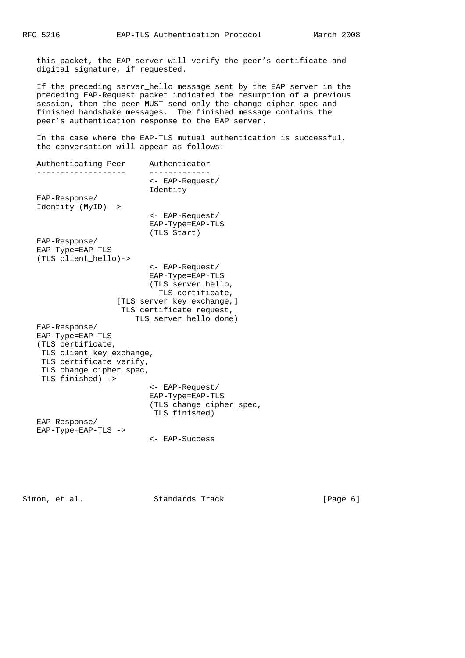this packet, the EAP server will verify the peer's certificate and digital signature, if requested.

 If the preceding server\_hello message sent by the EAP server in the preceding EAP-Request packet indicated the resumption of a previous session, then the peer MUST send only the change\_cipher\_spec and finished handshake messages. The finished message contains the peer's authentication response to the EAP server.

 In the case where the EAP-TLS mutual authentication is successful, the conversation will appear as follows:

 Authenticating Peer Authenticator ------------------- ------------- <- EAP-Request/ Identity EAP-Response/ Identity (MyID) -> <- EAP-Request/ EAP-Type=EAP-TLS (TLS Start) EAP-Response/ EAP-Type=EAP-TLS (TLS client\_hello)-> <- EAP-Request/ EAP-Type=EAP-TLS (TLS server\_hello, TLS certificate, [TLS server\_key\_exchange,] TLS certificate\_request, TLS server\_hello\_done) EAP-Response/ EAP-Type=EAP-TLS (TLS certificate, TLS client\_key\_exchange, TLS certificate verify, TLS change\_cipher\_spec, TLS finished) -> <- EAP-Request/ EAP-Type=EAP-TLS (TLS change\_cipher\_spec, TLS finished) EAP-Response/ EAP-Type=EAP-TLS -> <- EAP-Success

Simon, et al. Standards Track [Page 6]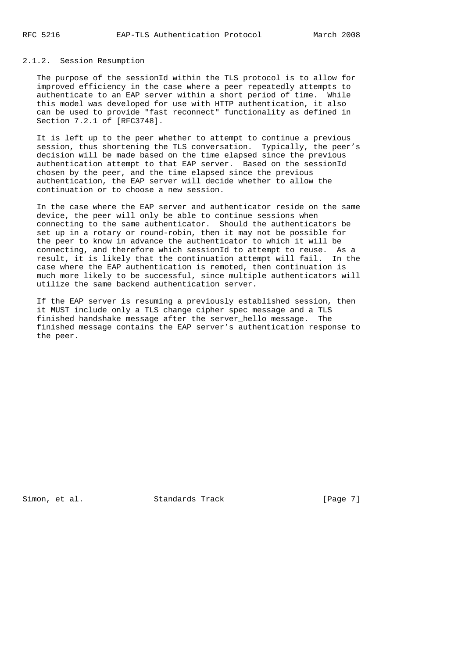# 2.1.2. Session Resumption

 The purpose of the sessionId within the TLS protocol is to allow for improved efficiency in the case where a peer repeatedly attempts to authenticate to an EAP server within a short period of time. While this model was developed for use with HTTP authentication, it also can be used to provide "fast reconnect" functionality as defined in Section 7.2.1 of [RFC3748].

 It is left up to the peer whether to attempt to continue a previous session, thus shortening the TLS conversation. Typically, the peer's decision will be made based on the time elapsed since the previous authentication attempt to that EAP server. Based on the sessionId chosen by the peer, and the time elapsed since the previous authentication, the EAP server will decide whether to allow the continuation or to choose a new session.

 In the case where the EAP server and authenticator reside on the same device, the peer will only be able to continue sessions when connecting to the same authenticator. Should the authenticators be set up in a rotary or round-robin, then it may not be possible for the peer to know in advance the authenticator to which it will be connecting, and therefore which sessionId to attempt to reuse. As a result, it is likely that the continuation attempt will fail. In the case where the EAP authentication is remoted, then continuation is much more likely to be successful, since multiple authenticators will utilize the same backend authentication server.

 If the EAP server is resuming a previously established session, then it MUST include only a TLS change cipher spec message and a TLS finished handshake message after the server\_hello message. The finished message contains the EAP server's authentication response to the peer.

Simon, et al. Standards Track [Page 7]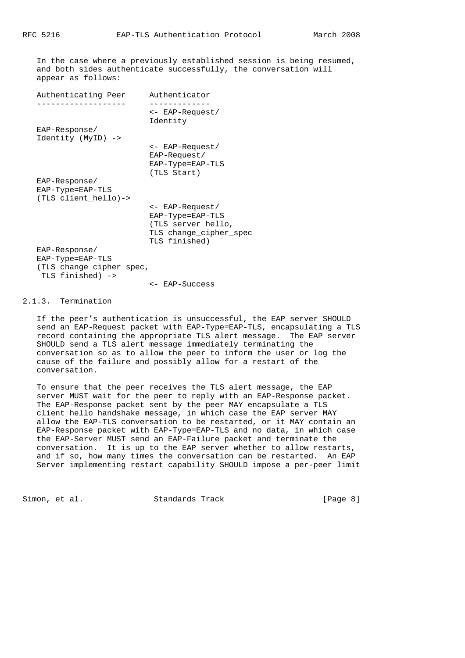In the case where a previously established session is being resumed, and both sides authenticate successfully, the conversation will appear as follows:

| Authenticating Peer      | Authenticator               |
|--------------------------|-----------------------------|
|                          | <- EAP-Request/<br>Identity |
| $EAP-Response/$          |                             |
| Identity (MyID) ->       |                             |
|                          | <- EAP-Request/             |
|                          | $EAP-Request/$              |
|                          | EAP-Type=EAP-TLS            |
|                          | (TLS Start)                 |
| EAP-Response/            |                             |
| EAP-Type=EAP-TLS         |                             |
| (TLS client hello)->     |                             |
|                          | <- EAP-Request/             |
|                          | EAP-Type=EAP-TLS            |
|                          | (TLS server hello,          |
|                          | TLS change cipher spec      |
|                          | TLS finished)               |
| $EAP-Response/$          |                             |
| EAP-Type=EAP-TLS         |                             |
| (TLS change_cipher_spec, |                             |
| TLS finished) ->         |                             |
|                          | <- EAP-Success              |

# 2.1.3. Termination

 If the peer's authentication is unsuccessful, the EAP server SHOULD send an EAP-Request packet with EAP-Type=EAP-TLS, encapsulating a TLS record containing the appropriate TLS alert message. The EAP server SHOULD send a TLS alert message immediately terminating the conversation so as to allow the peer to inform the user or log the cause of the failure and possibly allow for a restart of the conversation.

 To ensure that the peer receives the TLS alert message, the EAP server MUST wait for the peer to reply with an EAP-Response packet. The EAP-Response packet sent by the peer MAY encapsulate a TLS client\_hello handshake message, in which case the EAP server MAY allow the EAP-TLS conversation to be restarted, or it MAY contain an EAP-Response packet with EAP-Type=EAP-TLS and no data, in which case the EAP-Server MUST send an EAP-Failure packet and terminate the conversation. It is up to the EAP server whether to allow restarts, and if so, how many times the conversation can be restarted. An EAP Server implementing restart capability SHOULD impose a per-peer limit

Simon, et al. Standards Track [Page 8]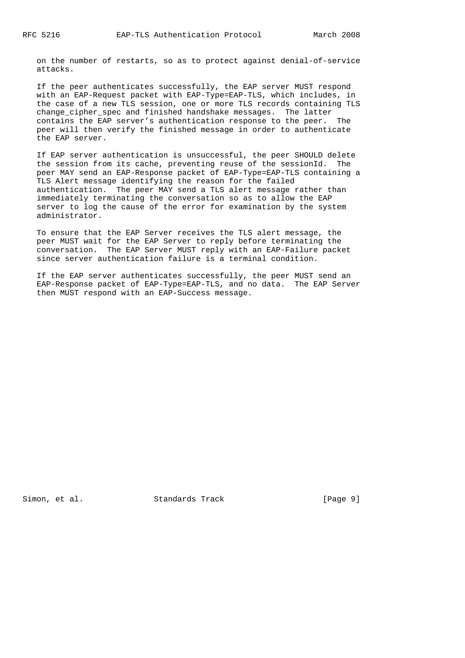on the number of restarts, so as to protect against denial-of-service attacks.

 If the peer authenticates successfully, the EAP server MUST respond with an EAP-Request packet with EAP-Type=EAP-TLS, which includes, in the case of a new TLS session, one or more TLS records containing TLS change\_cipher\_spec and finished handshake messages. The latter contains the EAP server's authentication response to the peer. The peer will then verify the finished message in order to authenticate the EAP server.

 If EAP server authentication is unsuccessful, the peer SHOULD delete the session from its cache, preventing reuse of the sessionId. The peer MAY send an EAP-Response packet of EAP-Type=EAP-TLS containing a TLS Alert message identifying the reason for the failed authentication. The peer MAY send a TLS alert message rather than immediately terminating the conversation so as to allow the EAP server to log the cause of the error for examination by the system administrator.

 To ensure that the EAP Server receives the TLS alert message, the peer MUST wait for the EAP Server to reply before terminating the conversation. The EAP Server MUST reply with an EAP-Failure packet since server authentication failure is a terminal condition.

 If the EAP server authenticates successfully, the peer MUST send an EAP-Response packet of EAP-Type=EAP-TLS, and no data. The EAP Server then MUST respond with an EAP-Success message.

Simon, et al. Standards Track [Page 9]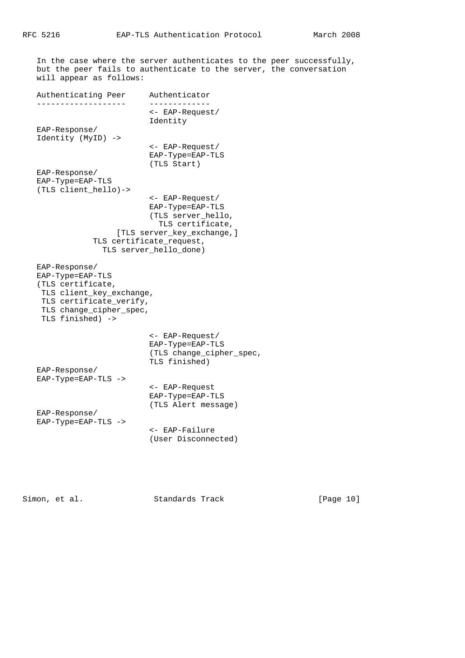In the case where the server authenticates to the peer successfully, but the peer fails to authenticate to the server, the conversation will appear as follows:

Authenticating Peer Authenticator ------------------- ------------- <- EAP-Request/ Identity EAP-Response/ Identity (MyID) -> <- EAP-Request/ EAP-Type=EAP-TLS (TLS Start) EAP-Response/ EAP-Type=EAP-TLS (TLS client\_hello)-> <- EAP-Request/ EAP-Type=EAP-TLS (TLS server\_hello, TLS certificate, [TLS server\_key\_exchange,] TLS certificate\_request, TLS server\_hello\_done) EAP-Response/ EAP-Type=EAP-TLS (TLS certificate, TLS client\_key\_exchange, TLS certificate\_verify, TLS change\_cipher\_spec, TLS finished) -> <- EAP-Request/ EAP-Type=EAP-TLS

 (TLS change\_cipher\_spec, TLS finished) EAP-Response/ EAP-Type=EAP-TLS -> <- EAP-Request EAP-Type=EAP-TLS (TLS Alert message) EAP-Response/ EAP-Type=EAP-TLS -> <- EAP-Failure

(User Disconnected)

Simon, et al. Standards Track [Page 10]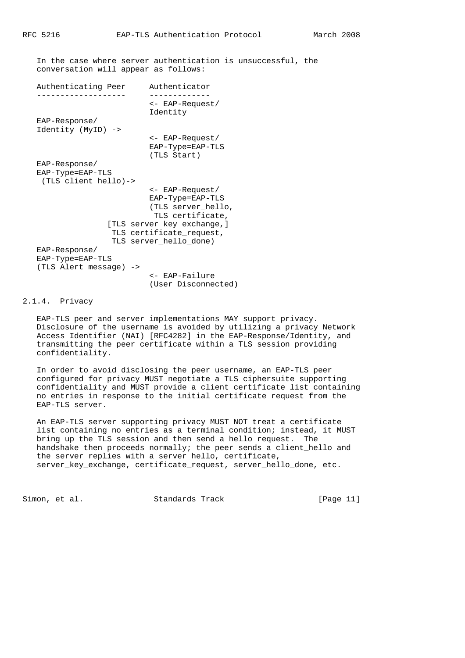In the case where server authentication is unsuccessful, the conversation will appear as follows:

```
 Authenticating Peer Authenticator
 ------------------- -------------
```
 <- EAP-Request/ Identity EAP-Response/ Identity (MyID) -> <- EAP-Request/

```
 EAP-Type=EAP-TLS
 (TLS Start)
```

```
 EAP-Type=EAP-TLS
  (TLS client_hello)->
                          <- EAP-Request/
                          EAP-Type=EAP-TLS
                          (TLS server_hello,
                           TLS certificate,
                 [TLS server_key_exchange,]
                TLS certificate request,
                  TLS server_hello_done)
 EAP-Response/
 EAP-Type=EAP-TLS
 (TLS Alert message) ->
```
 <- EAP-Failure (User Disconnected)

### 2.1.4. Privacy

EAP-Response/

 EAP-TLS peer and server implementations MAY support privacy. Disclosure of the username is avoided by utilizing a privacy Network Access Identifier (NAI) [RFC4282] in the EAP-Response/Identity, and transmitting the peer certificate within a TLS session providing confidentiality.

 In order to avoid disclosing the peer username, an EAP-TLS peer configured for privacy MUST negotiate a TLS ciphersuite supporting confidentiality and MUST provide a client certificate list containing no entries in response to the initial certificate\_request from the EAP-TLS server.

 An EAP-TLS server supporting privacy MUST NOT treat a certificate list containing no entries as a terminal condition; instead, it MUST bring up the TLS session and then send a hello\_request. The handshake then proceeds normally; the peer sends a client\_hello and the server replies with a server\_hello, certificate, server\_key\_exchange, certificate\_request, server\_hello\_done, etc.

Simon, et al. Standards Track [Page 11]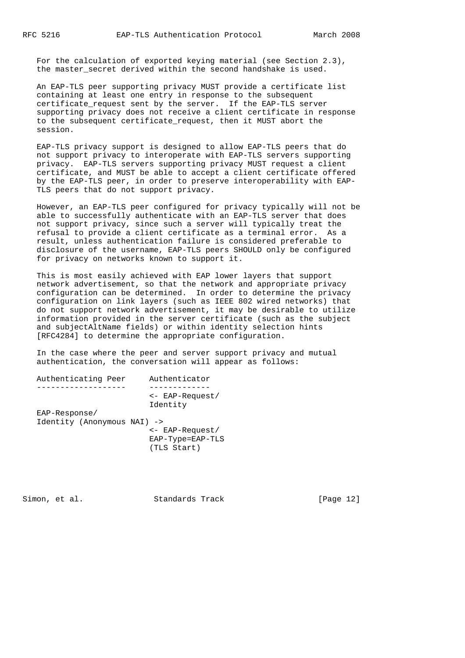For the calculation of exported keying material (see Section 2.3), the master\_secret derived within the second handshake is used.

 An EAP-TLS peer supporting privacy MUST provide a certificate list containing at least one entry in response to the subsequent certificate request sent by the server. If the EAP-TLS server supporting privacy does not receive a client certificate in response to the subsequent certificate\_request, then it MUST abort the session.

 EAP-TLS privacy support is designed to allow EAP-TLS peers that do not support privacy to interoperate with EAP-TLS servers supporting privacy. EAP-TLS servers supporting privacy MUST request a client certificate, and MUST be able to accept a client certificate offered by the EAP-TLS peer, in order to preserve interoperability with EAP- TLS peers that do not support privacy.

 However, an EAP-TLS peer configured for privacy typically will not be able to successfully authenticate with an EAP-TLS server that does not support privacy, since such a server will typically treat the refusal to provide a client certificate as a terminal error. As a result, unless authentication failure is considered preferable to disclosure of the username, EAP-TLS peers SHOULD only be configured for privacy on networks known to support it.

 This is most easily achieved with EAP lower layers that support network advertisement, so that the network and appropriate privacy configuration can be determined. In order to determine the privacy configuration on link layers (such as IEEE 802 wired networks) that do not support network advertisement, it may be desirable to utilize information provided in the server certificate (such as the subject and subjectAltName fields) or within identity selection hints [RFC4284] to determine the appropriate configuration.

 In the case where the peer and server support privacy and mutual authentication, the conversation will appear as follows:

| Authenticating Peer                          | Authenticator                                                |
|----------------------------------------------|--------------------------------------------------------------|
|                                              |                                                              |
|                                              | <- EAP-Request/<br>Identity                                  |
| EAP-Response/<br>Identity (Anonymous NAI) -> |                                                              |
|                                              | $\leftarrow$ EAP-Request/<br>EAP-Type=EAP-TLS<br>(TLS Start) |

Simon, et al. Standards Track [Page 12]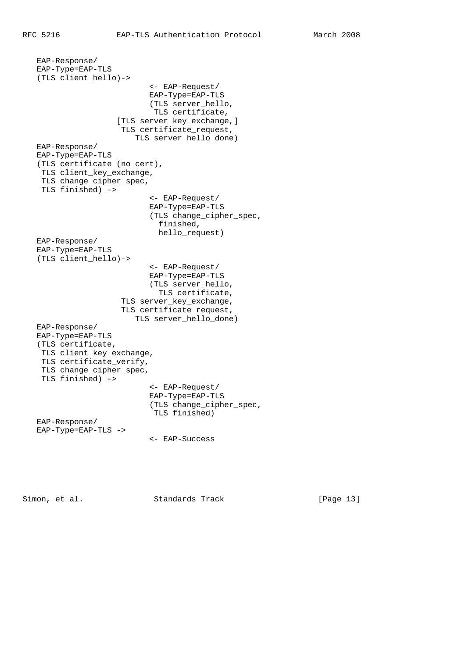EAP-Response/ EAP-Type=EAP-TLS (TLS client\_hello)-> <- EAP-Request/ EAP-Type=EAP-TLS (TLS server\_hello, TLS certificate, [TLS server\_key\_exchange,] TLS certificate request, TLS server\_hello\_done) EAP-Response/ EAP-Type=EAP-TLS (TLS certificate (no cert), TLS client\_key\_exchange, TLS change\_cipher\_spec, TLS finished) -> <- EAP-Request/ EAP-Type=EAP-TLS (TLS change\_cipher\_spec, finished, hello\_request) EAP-Response/ EAP-Type=EAP-TLS (TLS client\_hello)-> <- EAP-Request/ EAP-Type=EAP-TLS (TLS server\_hello, TLS certificate, TLS server\_key\_exchange, TLS certificate\_request, TLS server\_hello\_done) EAP-Response/ EAP-Type=EAP-TLS (TLS certificate, TLS client\_key\_exchange, TLS certificate verify, TLS change\_cipher\_spec, TLS finished) -> <- EAP-Request/ EAP-Type=EAP-TLS (TLS change\_cipher\_spec, TLS finished) EAP-Response/ EAP-Type=EAP-TLS -> <- EAP-Success

Simon, et al. Standards Track [Page 13]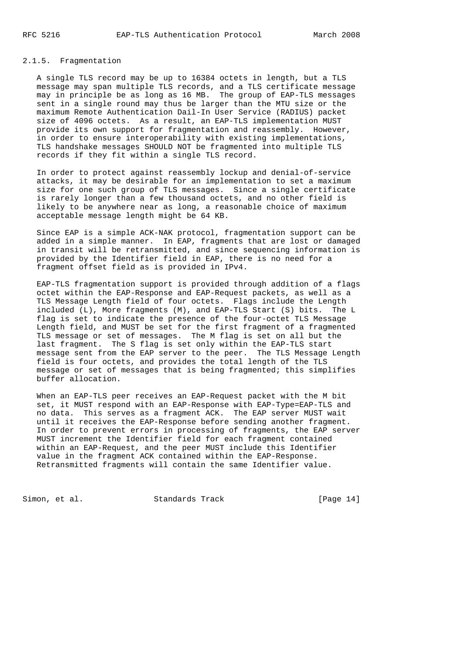# 2.1.5. Fragmentation

 A single TLS record may be up to 16384 octets in length, but a TLS message may span multiple TLS records, and a TLS certificate message may in principle be as long as 16 MB. The group of EAP-TLS messages sent in a single round may thus be larger than the MTU size or the maximum Remote Authentication Dail-In User Service (RADIUS) packet size of 4096 octets. As a result, an EAP-TLS implementation MUST provide its own support for fragmentation and reassembly. However, in order to ensure interoperability with existing implementations, TLS handshake messages SHOULD NOT be fragmented into multiple TLS records if they fit within a single TLS record.

 In order to protect against reassembly lockup and denial-of-service attacks, it may be desirable for an implementation to set a maximum size for one such group of TLS messages. Since a single certificate is rarely longer than a few thousand octets, and no other field is likely to be anywhere near as long, a reasonable choice of maximum acceptable message length might be 64 KB.

 Since EAP is a simple ACK-NAK protocol, fragmentation support can be added in a simple manner. In EAP, fragments that are lost or damaged in transit will be retransmitted, and since sequencing information is provided by the Identifier field in EAP, there is no need for a fragment offset field as is provided in IPv4.

 EAP-TLS fragmentation support is provided through addition of a flags octet within the EAP-Response and EAP-Request packets, as well as a TLS Message Length field of four octets. Flags include the Length included (L), More fragments (M), and EAP-TLS Start (S) bits. The L flag is set to indicate the presence of the four-octet TLS Message Length field, and MUST be set for the first fragment of a fragmented TLS message or set of messages. The M flag is set on all but the last fragment. The S flag is set only within the EAP-TLS start message sent from the EAP server to the peer. The TLS Message Length field is four octets, and provides the total length of the TLS message or set of messages that is being fragmented; this simplifies buffer allocation.

 When an EAP-TLS peer receives an EAP-Request packet with the M bit set, it MUST respond with an EAP-Response with EAP-Type=EAP-TLS and no data. This serves as a fragment ACK. The EAP server MUST wait until it receives the EAP-Response before sending another fragment. In order to prevent errors in processing of fragments, the EAP server MUST increment the Identifier field for each fragment contained within an EAP-Request, and the peer MUST include this Identifier value in the fragment ACK contained within the EAP-Response. Retransmitted fragments will contain the same Identifier value.

Simon, et al. Standards Track [Page 14]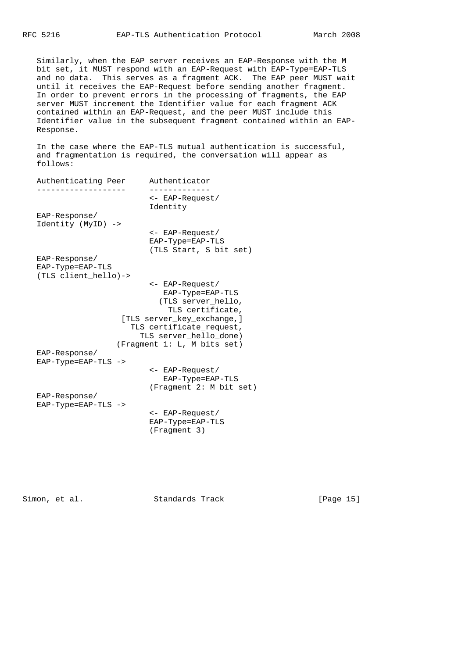Similarly, when the EAP server receives an EAP-Response with the M bit set, it MUST respond with an EAP-Request with EAP-Type=EAP-TLS and no data. This serves as a fragment ACK. The EAP peer MUST wait until it receives the EAP-Request before sending another fragment. In order to prevent errors in the processing of fragments, the EAP server MUST increment the Identifier value for each fragment ACK contained within an EAP-Request, and the peer MUST include this Identifier value in the subsequent fragment contained within an EAP- Response.

 In the case where the EAP-TLS mutual authentication is successful, and fragmentation is required, the conversation will appear as follows:

| Authenticating Peer   | Authenticator               |
|-----------------------|-----------------------------|
|                       | <- EAP-Request/             |
|                       | Identity                    |
| EAP-Response/         |                             |
| Identity (MyID) ->    |                             |
|                       | <- EAP-Request/             |
|                       | EAP-Type=EAP-TLS            |
|                       | (TLS Start, S bit set)      |
| $EAP-Response/$       |                             |
| EAP-Type=EAP-TLS      |                             |
| (TLS client_hello)->  |                             |
|                       | <- EAP-Request/             |
|                       | EAP-Type=EAP-TLS            |
|                       | (TLS server_hello,          |
|                       | TLS certificate,            |
|                       | [TLS server_key_exchange, ] |
|                       | TLS certificate_request,    |
|                       | TLS server_hello_done)      |
|                       | (Fragment 1: L, M bits set) |
| EAP-Response/         |                             |
| $EAP-Type=EAP-TLS$ -> |                             |
|                       | <- EAP-Request/             |
|                       | EAP-Type=EAP-TLS            |
|                       | (Fragment 2: M bit set)     |
| $EAP-Response/$       |                             |
| EAP-Type=EAP-TLS ->   |                             |
|                       | <- EAP-Request/             |
|                       | EAP-Type=EAP-TLS            |
|                       | (Fragment 3)                |
|                       |                             |

Simon, et al. Standards Track [Page 15]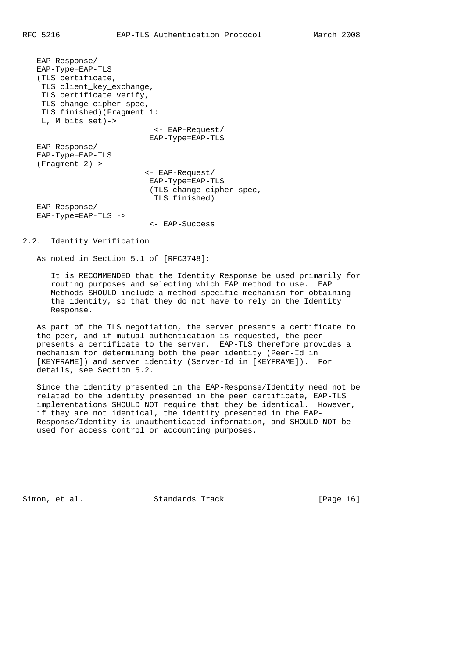EAP-Response/ EAP-Type=EAP-TLS (TLS certificate, TLS client\_key\_exchange, TLS certificate\_verify, TLS change\_cipher\_spec, TLS finished)(Fragment 1: L, M bits set)-> <- EAP-Request/ EAP-Type=EAP-TLS EAP-Response/ EAP-Type=EAP-TLS (Fragment 2)-> <- EAP-Request/ EAP-Type=EAP-TLS (TLS change\_cipher\_spec, TLS finished) EAP-Response/ EAP-Type=EAP-TLS -> <- EAP-Success

## 2.2. Identity Verification

As noted in Section 5.1 of [RFC3748]:

 It is RECOMMENDED that the Identity Response be used primarily for routing purposes and selecting which EAP method to use. EAP Methods SHOULD include a method-specific mechanism for obtaining the identity, so that they do not have to rely on the Identity Response.

 As part of the TLS negotiation, the server presents a certificate to the peer, and if mutual authentication is requested, the peer presents a certificate to the server. EAP-TLS therefore provides a mechanism for determining both the peer identity (Peer-Id in [KEYFRAME]) and server identity (Server-Id in [KEYFRAME]). For details, see Section 5.2.

 Since the identity presented in the EAP-Response/Identity need not be related to the identity presented in the peer certificate, EAP-TLS implementations SHOULD NOT require that they be identical. However, if they are not identical, the identity presented in the EAP- Response/Identity is unauthenticated information, and SHOULD NOT be used for access control or accounting purposes.

Simon, et al. Standards Track [Page 16]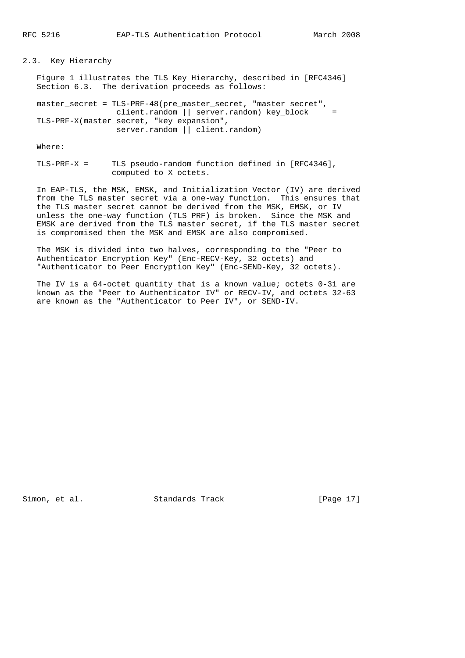#### 2.3. Key Hierarchy

 Figure 1 illustrates the TLS Key Hierarchy, described in [RFC4346] Section 6.3. The derivation proceeds as follows:

 master\_secret = TLS-PRF-48(pre\_master\_secret, "master secret", client.random || server.random) key\_block = TLS-PRF-X(master\_secret, "key expansion", server.random || client.random)

Where:

 TLS-PRF-X = TLS pseudo-random function defined in [RFC4346], computed to X octets.

 In EAP-TLS, the MSK, EMSK, and Initialization Vector (IV) are derived from the TLS master secret via a one-way function. This ensures that the TLS master secret cannot be derived from the MSK, EMSK, or IV unless the one-way function (TLS PRF) is broken. Since the MSK and EMSK are derived from the TLS master secret, if the TLS master secret is compromised then the MSK and EMSK are also compromised.

 The MSK is divided into two halves, corresponding to the "Peer to Authenticator Encryption Key" (Enc-RECV-Key, 32 octets) and "Authenticator to Peer Encryption Key" (Enc-SEND-Key, 32 octets).

 The IV is a 64-octet quantity that is a known value; octets 0-31 are known as the "Peer to Authenticator IV" or RECV-IV, and octets 32-63 are known as the "Authenticator to Peer IV", or SEND-IV.

Simon, et al. Standards Track [Page 17]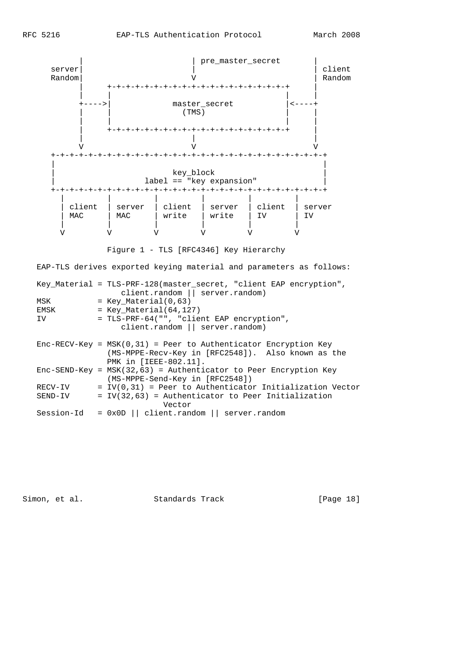

Figure 1 - TLS [RFC4346] Key Hierarchy

EAP-TLS derives exported keying material and parameters as follows:

|            | Key_Material = TLS-PRF-128(master_secret, "client EAP encryption",<br>client.random    server.random)                                             |
|------------|---------------------------------------------------------------------------------------------------------------------------------------------------|
| MSK        | $=$ Key Material(0,63)                                                                                                                            |
| EMSK       | $=$ Key Material(64,127)                                                                                                                          |
| IV.        | = TLS-PRF-64("", "client EAP encryption",                                                                                                         |
|            | client.random    server.random)                                                                                                                   |
|            | $Enc-RECV-Key = MSK(0,31) = Peer to Authentication Encryption Key$<br>(MS-MPPE-Recv-Key in [RFC2548]). Also known as the<br>PMK in [IEEE-802.11]. |
|            | $Enc-SEND-Key = MSK(32, 63) = Authentication to Peer Encryption Key$<br>(MS-MPPE-Send-Key in [RFC2548])                                           |
| RECV-IV    | $= IV(0, 31)$ = Peer to Authenticator Initialization Vector                                                                                       |
| SEND-IV    | $= IV(32, 63)$ = Authenticator to Peer Initialization<br>Vector                                                                                   |
| Session-Id | $= 0x0D$    client.random    server.random                                                                                                        |
|            |                                                                                                                                                   |

Simon, et al. Standards Track [Page 18]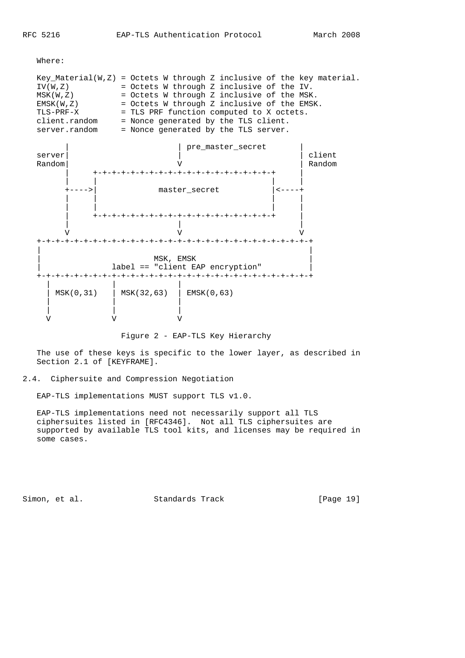Where:



Figure 2 - EAP-TLS Key Hierarchy

 The use of these keys is specific to the lower layer, as described in Section 2.1 of [KEYFRAME].

#### 2.4. Ciphersuite and Compression Negotiation

EAP-TLS implementations MUST support TLS v1.0.

 EAP-TLS implementations need not necessarily support all TLS ciphersuites listed in [RFC4346]. Not all TLS ciphersuites are supported by available TLS tool kits, and licenses may be required in some cases.

Simon, et al. Standards Track [Page 19]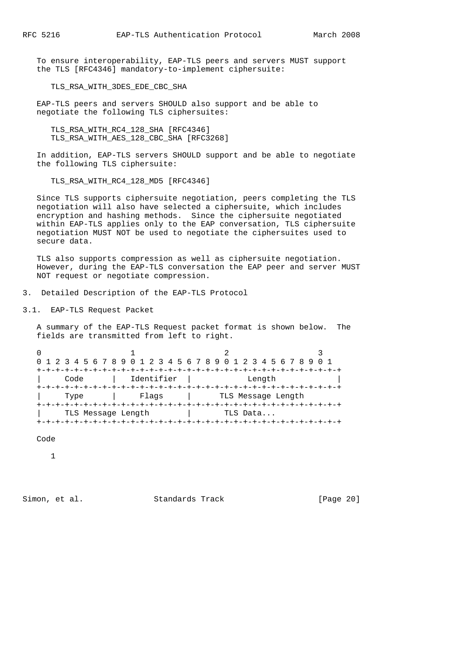To ensure interoperability, EAP-TLS peers and servers MUST support the TLS [RFC4346] mandatory-to-implement ciphersuite:

TLS\_RSA\_WITH\_3DES\_EDE\_CBC\_SHA

 EAP-TLS peers and servers SHOULD also support and be able to negotiate the following TLS ciphersuites:

TLS\_RSA\_WITH\_RC4\_128\_SHA [RFC4346] TLS\_RSA\_WITH\_AES\_128\_CBC\_SHA [RFC3268]

 In addition, EAP-TLS servers SHOULD support and be able to negotiate the following TLS ciphersuite:

TLS RSA WITH RC4 128 MD5 [RFC4346]

 Since TLS supports ciphersuite negotiation, peers completing the TLS negotiation will also have selected a ciphersuite, which includes encryption and hashing methods. Since the ciphersuite negotiated within EAP-TLS applies only to the EAP conversation, TLS ciphersuite negotiation MUST NOT be used to negotiate the ciphersuites used to secure data.

 TLS also supports compression as well as ciphersuite negotiation. However, during the EAP-TLS conversation the EAP peer and server MUST NOT request or negotiate compression.

3. Detailed Description of the EAP-TLS Protocol

3.1. EAP-TLS Request Packet

 A summary of the EAP-TLS Request packet format is shown below. The fields are transmitted from left to right.

|                    |            | 0 1 2 3 4 5 6 7 8 9 0 1 2 3 4 5 6 7 8 9 0 1 2 3 4 5 6 7 8 9 |  |  |
|--------------------|------------|-------------------------------------------------------------|--|--|
|                    |            |                                                             |  |  |
| Code               | Identifier | Length                                                      |  |  |
|                    |            |                                                             |  |  |
| Type               | Flaqs      | TLS Message Length                                          |  |  |
|                    |            |                                                             |  |  |
| TLS Message Length |            | TLS Data                                                    |  |  |
|                    |            |                                                             |  |  |

Code

1

Simon, et al. Standards Track [Page 20]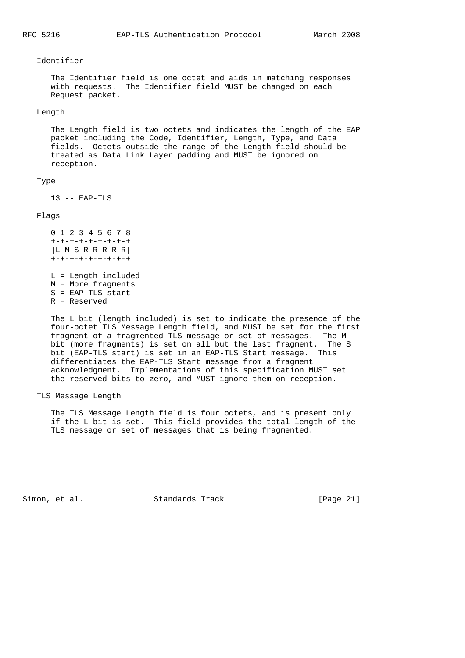#### Identifier

 The Identifier field is one octet and aids in matching responses with requests. The Identifier field MUST be changed on each Request packet.

#### Length

 The Length field is two octets and indicates the length of the EAP packet including the Code, Identifier, Length, Type, and Data fields. Octets outside the range of the Length field should be treated as Data Link Layer padding and MUST be ignored on reception.

## Type

13 -- EAP-TLS

#### Flags

 0 1 2 3 4 5 6 7 8 +-+-+-+-+-+-+-+-+ |L M S R R R R R| +-+-+-+-+-+-+-+-+ L = Length included

 M = More fragments S = EAP-TLS start R = Reserved

 The L bit (length included) is set to indicate the presence of the four-octet TLS Message Length field, and MUST be set for the first fragment of a fragmented TLS message or set of messages. The M bit (more fragments) is set on all but the last fragment. The S bit (EAP-TLS start) is set in an EAP-TLS Start message. This differentiates the EAP-TLS Start message from a fragment acknowledgment. Implementations of this specification MUST set the reserved bits to zero, and MUST ignore them on reception.

#### TLS Message Length

 The TLS Message Length field is four octets, and is present only if the L bit is set. This field provides the total length of the TLS message or set of messages that is being fragmented.

Simon, et al. Standards Track [Page 21]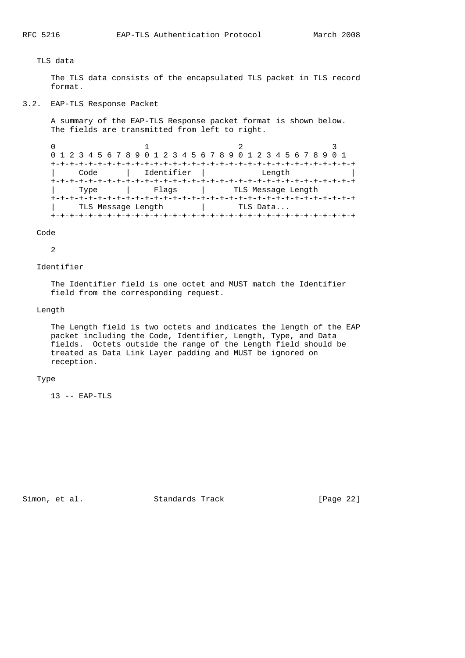## TLS data

 The TLS data consists of the encapsulated TLS packet in TLS record format.

3.2. EAP-TLS Response Packet

 A summary of the EAP-TLS Response packet format is shown below. The fields are transmitted from left to right.

|                    |            | 0 1 2 3 4 5 6 7 8 9 0 1 2 3 4 5 6 7 8 9 0 1 2 3 4 5 6 7 8 9 0 1 |  |
|--------------------|------------|-----------------------------------------------------------------|--|
|                    |            | --+-+-+-+-+-+-+-+-+-+-+-+-+-+-+-                                |  |
| Code               | Identifier | Length                                                          |  |
|                    |            |                                                                 |  |
| Type               | Flags      | TLS Message Length                                              |  |
|                    |            |                                                                 |  |
| TLS Message Length |            | TLS Data                                                        |  |
|                    |            |                                                                 |  |

Code

2

#### Identifier

 The Identifier field is one octet and MUST match the Identifier field from the corresponding request.

#### Length

 The Length field is two octets and indicates the length of the EAP packet including the Code, Identifier, Length, Type, and Data fields. Octets outside the range of the Length field should be treated as Data Link Layer padding and MUST be ignored on reception.

#### Type

13 -- EAP-TLS

Simon, et al. Standards Track [Page 22]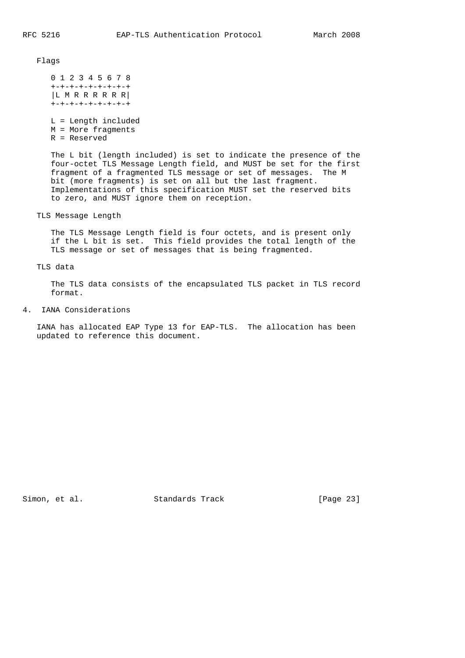Flags

 0 1 2 3 4 5 6 7 8 +-+-+-+-+-+-+-+-+ |L M R R R R R R| +-+-+-+-+-+-+-+-+

 L = Length included M = More fragments R = Reserved

 The L bit (length included) is set to indicate the presence of the four-octet TLS Message Length field, and MUST be set for the first fragment of a fragmented TLS message or set of messages. The M bit (more fragments) is set on all but the last fragment. Implementations of this specification MUST set the reserved bits to zero, and MUST ignore them on reception.

TLS Message Length

 The TLS Message Length field is four octets, and is present only if the L bit is set. This field provides the total length of the TLS message or set of messages that is being fragmented.

TLS data

 The TLS data consists of the encapsulated TLS packet in TLS record format.

4. IANA Considerations

 IANA has allocated EAP Type 13 for EAP-TLS. The allocation has been updated to reference this document.

Simon, et al. Standards Track [Page 23]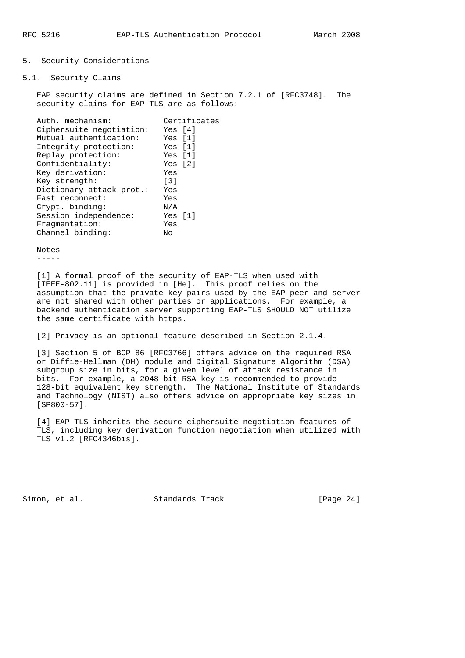#### 5. Security Considerations

5.1. Security Claims

 EAP security claims are defined in Section 7.2.1 of [RFC3748]. The security claims for EAP-TLS are as follows:

| Auth, mechanism:         | Certificates      |
|--------------------------|-------------------|
| Ciphersuite negotiation: | Yes [4]           |
| Mutual authentication:   | Yes [1]           |
| Integrity protection:    | Yes [1]           |
| Replay protection:       | Yes [1]           |
| Confidentiality:         | Yes [2]           |
| Key derivation:          | Yes               |
| Key strength:            | $\lceil 3 \rceil$ |
| Dictionary attack prot.: | Yes               |
| Fast reconnect:          | Yes               |
| Crypt. binding:          | N/A               |
| Session independence:    | Yes [1]           |
| Fraqmentation:           | Yes               |
| Channel binding:         | Nο                |

 Notes -----

 [1] A formal proof of the security of EAP-TLS when used with [IEEE-802.11] is provided in [He]. This proof relies on the assumption that the private key pairs used by the EAP peer and server are not shared with other parties or applications. For example, a backend authentication server supporting EAP-TLS SHOULD NOT utilize the same certificate with https.

[2] Privacy is an optional feature described in Section 2.1.4.

 [3] Section 5 of BCP 86 [RFC3766] offers advice on the required RSA or Diffie-Hellman (DH) module and Digital Signature Algorithm (DSA) subgroup size in bits, for a given level of attack resistance in bits. For example, a 2048-bit RSA key is recommended to provide 128-bit equivalent key strength. The National Institute of Standards and Technology (NIST) also offers advice on appropriate key sizes in [SP800-57].

 [4] EAP-TLS inherits the secure ciphersuite negotiation features of TLS, including key derivation function negotiation when utilized with TLS v1.2 [RFC4346bis].

Simon, et al. Standards Track [Page 24]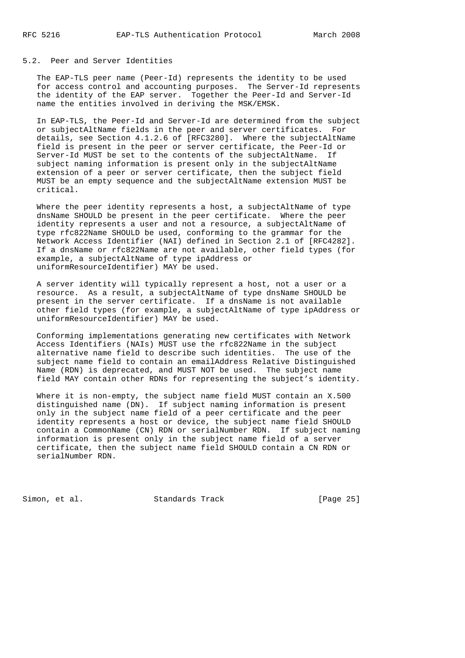#### 5.2. Peer and Server Identities

 The EAP-TLS peer name (Peer-Id) represents the identity to be used for access control and accounting purposes. The Server-Id represents the identity of the EAP server. Together the Peer-Id and Server-Id name the entities involved in deriving the MSK/EMSK.

 In EAP-TLS, the Peer-Id and Server-Id are determined from the subject or subjectAltName fields in the peer and server certificates. For details, see Section 4.1.2.6 of [RFC3280]. Where the subjectAltName field is present in the peer or server certificate, the Peer-Id or Server-Id MUST be set to the contents of the subjectAltName. If subject naming information is present only in the subjectAltName extension of a peer or server certificate, then the subject field MUST be an empty sequence and the subjectAltName extension MUST be critical.

Where the peer identity represents a host, a subjectAltName of type dnsName SHOULD be present in the peer certificate. Where the peer identity represents a user and not a resource, a subjectAltName of type rfc822Name SHOULD be used, conforming to the grammar for the Network Access Identifier (NAI) defined in Section 2.1 of [RFC4282]. If a dnsName or rfc822Name are not available, other field types (for example, a subjectAltName of type ipAddress or uniformResourceIdentifier) MAY be used.

 A server identity will typically represent a host, not a user or a resource. As a result, a subjectAltName of type dnsName SHOULD be present in the server certificate. If a dnsName is not available other field types (for example, a subjectAltName of type ipAddress or uniformResourceIdentifier) MAY be used.

 Conforming implementations generating new certificates with Network Access Identifiers (NAIs) MUST use the rfc822Name in the subject alternative name field to describe such identities. The use of the subject name field to contain an emailAddress Relative Distinguished Name (RDN) is deprecated, and MUST NOT be used. The subject name field MAY contain other RDNs for representing the subject's identity.

 Where it is non-empty, the subject name field MUST contain an X.500 distinguished name (DN). If subject naming information is present only in the subject name field of a peer certificate and the peer identity represents a host or device, the subject name field SHOULD contain a CommonName (CN) RDN or serialNumber RDN. If subject naming information is present only in the subject name field of a server certificate, then the subject name field SHOULD contain a CN RDN or serialNumber RDN.

Simon, et al. Standards Track [Page 25]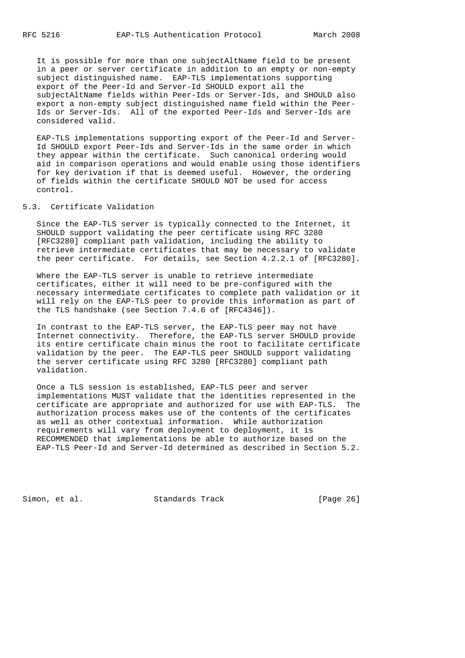It is possible for more than one subjectAltName field to be present in a peer or server certificate in addition to an empty or non-empty subject distinguished name. EAP-TLS implementations supporting export of the Peer-Id and Server-Id SHOULD export all the subjectAltName fields within Peer-Ids or Server-Ids, and SHOULD also export a non-empty subject distinguished name field within the Peer- Ids or Server-Ids. All of the exported Peer-Ids and Server-Ids are considered valid.

 EAP-TLS implementations supporting export of the Peer-Id and Server- Id SHOULD export Peer-Ids and Server-Ids in the same order in which they appear within the certificate. Such canonical ordering would aid in comparison operations and would enable using those identifiers for key derivation if that is deemed useful. However, the ordering of fields within the certificate SHOULD NOT be used for access control.

## 5.3. Certificate Validation

 Since the EAP-TLS server is typically connected to the Internet, it SHOULD support validating the peer certificate using RFC 3280 [RFC3280] compliant path validation, including the ability to retrieve intermediate certificates that may be necessary to validate the peer certificate. For details, see Section 4.2.2.1 of [RFC3280].

 Where the EAP-TLS server is unable to retrieve intermediate certificates, either it will need to be pre-configured with the necessary intermediate certificates to complete path validation or it will rely on the EAP-TLS peer to provide this information as part of the TLS handshake (see Section 7.4.6 of [RFC4346]).

 In contrast to the EAP-TLS server, the EAP-TLS peer may not have Internet connectivity. Therefore, the EAP-TLS server SHOULD provide its entire certificate chain minus the root to facilitate certificate validation by the peer. The EAP-TLS peer SHOULD support validating the server certificate using RFC 3280 [RFC3280] compliant path validation.

 Once a TLS session is established, EAP-TLS peer and server implementations MUST validate that the identities represented in the certificate are appropriate and authorized for use with EAP-TLS. The authorization process makes use of the contents of the certificates as well as other contextual information. While authorization requirements will vary from deployment to deployment, it is RECOMMENDED that implementations be able to authorize based on the EAP-TLS Peer-Id and Server-Id determined as described in Section 5.2.

Simon, et al. Standards Track [Page 26]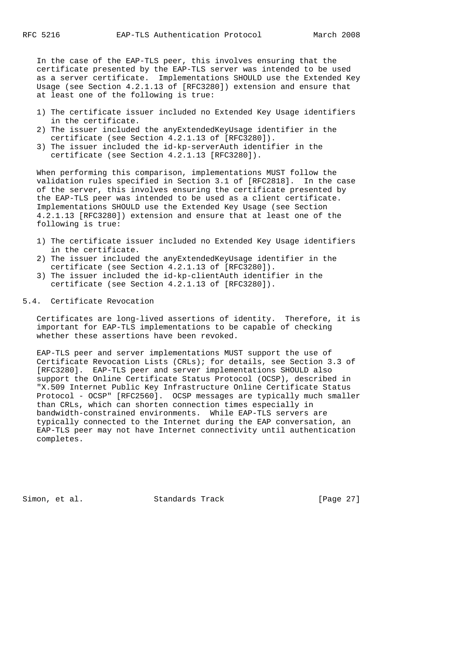In the case of the EAP-TLS peer, this involves ensuring that the certificate presented by the EAP-TLS server was intended to be used as a server certificate. Implementations SHOULD use the Extended Key Usage (see Section 4.2.1.13 of [RFC3280]) extension and ensure that at least one of the following is true:

- 1) The certificate issuer included no Extended Key Usage identifiers in the certificate.
- 2) The issuer included the anyExtendedKeyUsage identifier in the certificate (see Section 4.2.1.13 of [RFC3280]).
- 3) The issuer included the id-kp-serverAuth identifier in the certificate (see Section 4.2.1.13 [RFC3280]).

 When performing this comparison, implementations MUST follow the validation rules specified in Section 3.1 of [RFC2818]. In the case of the server, this involves ensuring the certificate presented by the EAP-TLS peer was intended to be used as a client certificate. Implementations SHOULD use the Extended Key Usage (see Section 4.2.1.13 [RFC3280]) extension and ensure that at least one of the following is true:

- 1) The certificate issuer included no Extended Key Usage identifiers in the certificate.
- 2) The issuer included the anyExtendedKeyUsage identifier in the certificate (see Section 4.2.1.13 of [RFC3280]).
- 3) The issuer included the id-kp-clientAuth identifier in the certificate (see Section 4.2.1.13 of [RFC3280]).

# 5.4. Certificate Revocation

 Certificates are long-lived assertions of identity. Therefore, it is important for EAP-TLS implementations to be capable of checking whether these assertions have been revoked.

 EAP-TLS peer and server implementations MUST support the use of Certificate Revocation Lists (CRLs); for details, see Section 3.3 of [RFC3280]. EAP-TLS peer and server implementations SHOULD also support the Online Certificate Status Protocol (OCSP), described in "X.509 Internet Public Key Infrastructure Online Certificate Status Protocol - OCSP" [RFC2560]. OCSP messages are typically much smaller than CRLs, which can shorten connection times especially in bandwidth-constrained environments. While EAP-TLS servers are typically connected to the Internet during the EAP conversation, an EAP-TLS peer may not have Internet connectivity until authentication completes.

Simon, et al. Standards Track [Page 27]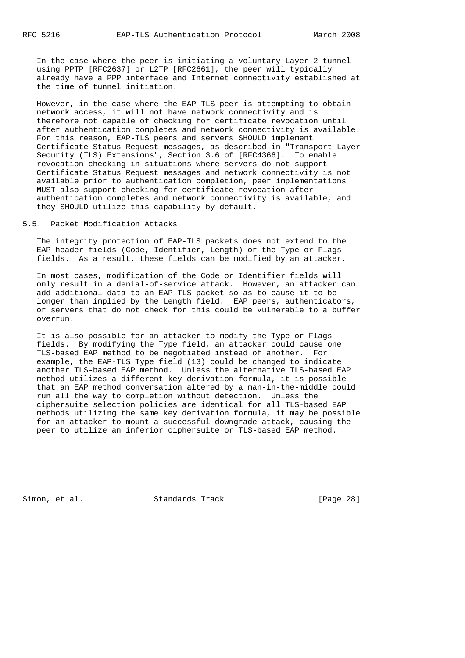In the case where the peer is initiating a voluntary Layer 2 tunnel using PPTP [RFC2637] or L2TP [RFC2661], the peer will typically already have a PPP interface and Internet connectivity established at the time of tunnel initiation.

 However, in the case where the EAP-TLS peer is attempting to obtain network access, it will not have network connectivity and is therefore not capable of checking for certificate revocation until after authentication completes and network connectivity is available. For this reason, EAP-TLS peers and servers SHOULD implement Certificate Status Request messages, as described in "Transport Layer Security (TLS) Extensions", Section 3.6 of [RFC4366]. To enable revocation checking in situations where servers do not support Certificate Status Request messages and network connectivity is not available prior to authentication completion, peer implementations MUST also support checking for certificate revocation after authentication completes and network connectivity is available, and they SHOULD utilize this capability by default.

5.5. Packet Modification Attacks

 The integrity protection of EAP-TLS packets does not extend to the EAP header fields (Code, Identifier, Length) or the Type or Flags fields. As a result, these fields can be modified by an attacker.

 In most cases, modification of the Code or Identifier fields will only result in a denial-of-service attack. However, an attacker can add additional data to an EAP-TLS packet so as to cause it to be longer than implied by the Length field. EAP peers, authenticators, or servers that do not check for this could be vulnerable to a buffer overrun.

 It is also possible for an attacker to modify the Type or Flags fields. By modifying the Type field, an attacker could cause one TLS-based EAP method to be negotiated instead of another. For example, the EAP-TLS Type field (13) could be changed to indicate another TLS-based EAP method. Unless the alternative TLS-based EAP method utilizes a different key derivation formula, it is possible that an EAP method conversation altered by a man-in-the-middle could run all the way to completion without detection. Unless the ciphersuite selection policies are identical for all TLS-based EAP methods utilizing the same key derivation formula, it may be possible for an attacker to mount a successful downgrade attack, causing the peer to utilize an inferior ciphersuite or TLS-based EAP method.

Simon, et al. Standards Track [Page 28]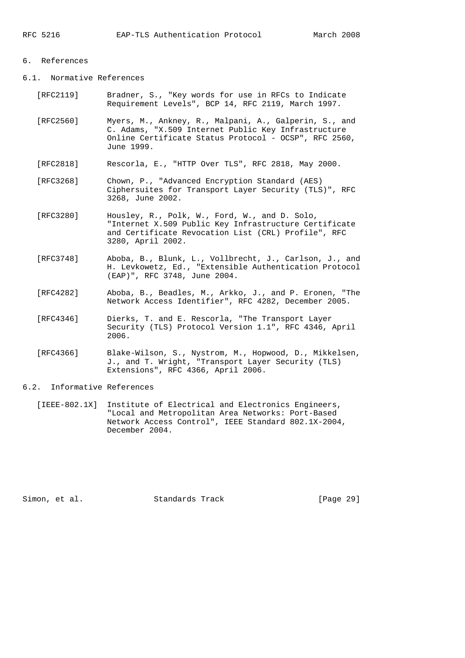## 6. References

6.1. Normative References

- [RFC2119] Bradner, S., "Key words for use in RFCs to Indicate Requirement Levels", BCP 14, RFC 2119, March 1997.
- [RFC2560] Myers, M., Ankney, R., Malpani, A., Galperin, S., and C. Adams, "X.509 Internet Public Key Infrastructure Online Certificate Status Protocol - OCSP", RFC 2560, June 1999.
- [RFC2818] Rescorla, E., "HTTP Over TLS", RFC 2818, May 2000.
- [RFC3268] Chown, P., "Advanced Encryption Standard (AES) Ciphersuites for Transport Layer Security (TLS)", RFC 3268, June 2002.
- [RFC3280] Housley, R., Polk, W., Ford, W., and D. Solo, "Internet X.509 Public Key Infrastructure Certificate and Certificate Revocation List (CRL) Profile", RFC 3280, April 2002.
- [RFC3748] Aboba, B., Blunk, L., Vollbrecht, J., Carlson, J., and H. Levkowetz, Ed., "Extensible Authentication Protocol (EAP)", RFC 3748, June 2004.
- [RFC4282] Aboba, B., Beadles, M., Arkko, J., and P. Eronen, "The Network Access Identifier", RFC 4282, December 2005.
- [RFC4346] Dierks, T. and E. Rescorla, "The Transport Layer Security (TLS) Protocol Version 1.1", RFC 4346, April 2006.
- [RFC4366] Blake-Wilson, S., Nystrom, M., Hopwood, D., Mikkelsen, J., and T. Wright, "Transport Layer Security (TLS) Extensions", RFC 4366, April 2006.
- 6.2. Informative References
	- [IEEE-802.1X] Institute of Electrical and Electronics Engineers, "Local and Metropolitan Area Networks: Port-Based Network Access Control", IEEE Standard 802.1X-2004, December 2004.

Simon, et al. Standards Track [Page 29]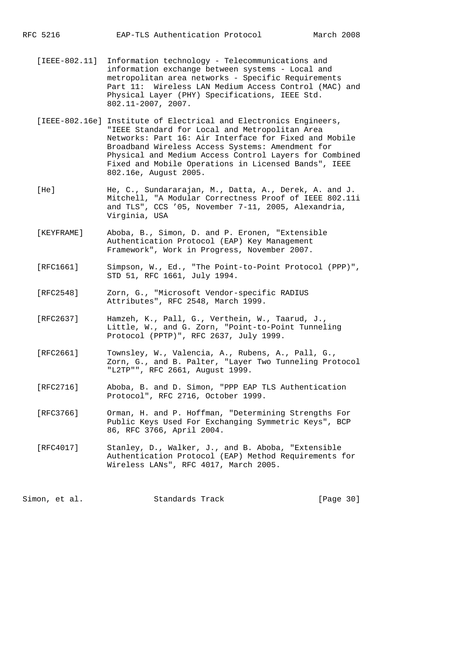- [IEEE-802.11] Information technology Telecommunications and information exchange between systems - Local and metropolitan area networks - Specific Requirements Part 11: Wireless LAN Medium Access Control (MAC) and Physical Layer (PHY) Specifications, IEEE Std. 802.11-2007, 2007.
- [IEEE-802.16e] Institute of Electrical and Electronics Engineers, "IEEE Standard for Local and Metropolitan Area Networks: Part 16: Air Interface for Fixed and Mobile Broadband Wireless Access Systems: Amendment for Physical and Medium Access Control Layers for Combined Fixed and Mobile Operations in Licensed Bands", IEEE 802.16e, August 2005.
- [He] He, C., Sundararajan, M., Datta, A., Derek, A. and J. Mitchell, "A Modular Correctness Proof of IEEE 802.11i and TLS", CCS '05, November 7-11, 2005, Alexandria, Virginia, USA
- [KEYFRAME] Aboba, B., Simon, D. and P. Eronen, "Extensible Authentication Protocol (EAP) Key Management Framework", Work in Progress, November 2007.
- [RFC1661] Simpson, W., Ed., "The Point-to-Point Protocol (PPP)", STD 51, RFC 1661, July 1994.
- [RFC2548] Zorn, G., "Microsoft Vendor-specific RADIUS Attributes", RFC 2548, March 1999.
- [RFC2637] Hamzeh, K., Pall, G., Verthein, W., Taarud, J., Little, W., and G. Zorn, "Point-to-Point Tunneling Protocol (PPTP)", RFC 2637, July 1999.
- [RFC2661] Townsley, W., Valencia, A., Rubens, A., Pall, G., Zorn, G., and B. Palter, "Layer Two Tunneling Protocol "L2TP"", RFC 2661, August 1999.
- [RFC2716] Aboba, B. and D. Simon, "PPP EAP TLS Authentication Protocol", RFC 2716, October 1999.
- [RFC3766] Orman, H. and P. Hoffman, "Determining Strengths For Public Keys Used For Exchanging Symmetric Keys", BCP 86, RFC 3766, April 2004.
- [RFC4017] Stanley, D., Walker, J., and B. Aboba, "Extensible Authentication Protocol (EAP) Method Requirements for Wireless LANs", RFC 4017, March 2005.

Simon, et al. Standards Track [Page 30]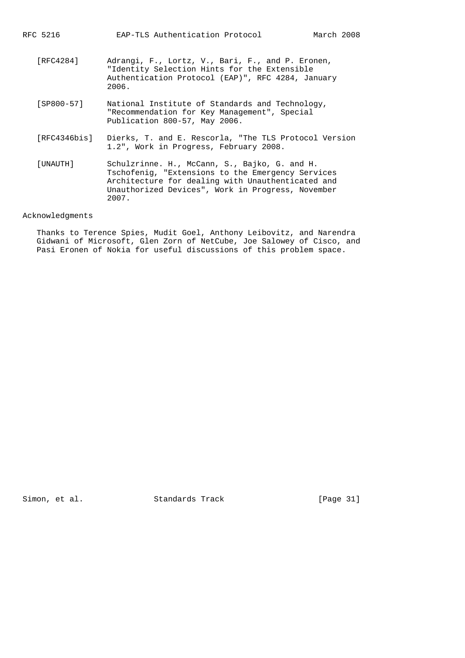RFC 5216 EAP-TLS Authentication Protocol March 2008

- [RFC4284] Adrangi, F., Lortz, V., Bari, F., and P. Eronen, "Identity Selection Hints for the Extensible Authentication Protocol (EAP)", RFC 4284, January 2006.
- [SP800-57] National Institute of Standards and Technology, "Recommendation for Key Management", Special Publication 800-57, May 2006.
- [RFC4346bis] Dierks, T. and E. Rescorla, "The TLS Protocol Version 1.2", Work in Progress, February 2008.
- [UNAUTH] Schulzrinne. H., McCann, S., Bajko, G. and H. Tschofenig, "Extensions to the Emergency Services Architecture for dealing with Unauthenticated and Unauthorized Devices", Work in Progress, November 2007.

## Acknowledgments

 Thanks to Terence Spies, Mudit Goel, Anthony Leibovitz, and Narendra Gidwani of Microsoft, Glen Zorn of NetCube, Joe Salowey of Cisco, and Pasi Eronen of Nokia for useful discussions of this problem space.

Simon, et al. Standards Track [Page 31]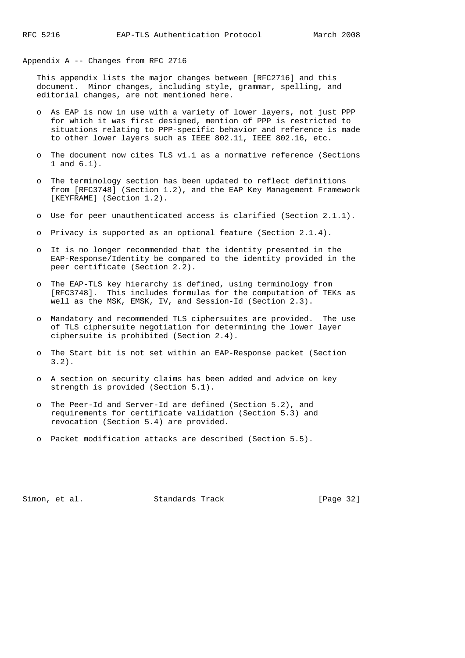Appendix A -- Changes from RFC 2716

 This appendix lists the major changes between [RFC2716] and this document. Minor changes, including style, grammar, spelling, and editorial changes, are not mentioned here.

- o As EAP is now in use with a variety of lower layers, not just PPP for which it was first designed, mention of PPP is restricted to situations relating to PPP-specific behavior and reference is made to other lower layers such as IEEE 802.11, IEEE 802.16, etc.
- The document now cites TLS v1.1 as a normative reference (Sections 1 and 6.1).
- o The terminology section has been updated to reflect definitions from [RFC3748] (Section 1.2), and the EAP Key Management Framework [KEYFRAME] (Section 1.2).
- o Use for peer unauthenticated access is clarified (Section 2.1.1).
- o Privacy is supported as an optional feature (Section 2.1.4).
- o It is no longer recommended that the identity presented in the EAP-Response/Identity be compared to the identity provided in the peer certificate (Section 2.2).
- o The EAP-TLS key hierarchy is defined, using terminology from [RFC3748]. This includes formulas for the computation of TEKs as well as the MSK, EMSK, IV, and Session-Id (Section 2.3).
- o Mandatory and recommended TLS ciphersuites are provided. The use of TLS ciphersuite negotiation for determining the lower layer ciphersuite is prohibited (Section 2.4).
- o The Start bit is not set within an EAP-Response packet (Section 3.2).
- o A section on security claims has been added and advice on key strength is provided (Section 5.1).
- o The Peer-Id and Server-Id are defined (Section 5.2), and requirements for certificate validation (Section 5.3) and revocation (Section 5.4) are provided.
- o Packet modification attacks are described (Section 5.5).

Simon, et al. Standards Track [Page 32]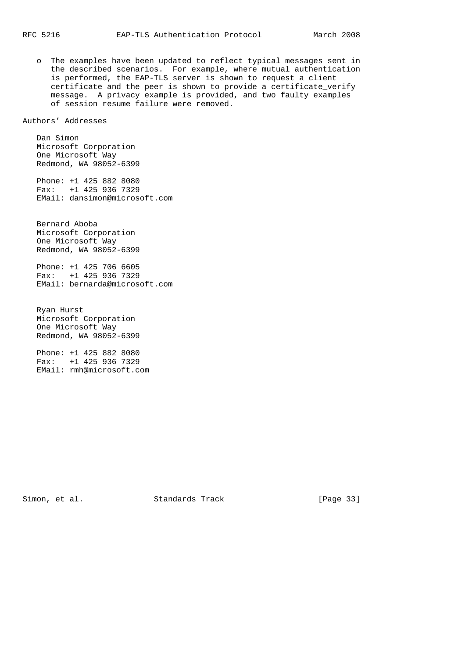o The examples have been updated to reflect typical messages sent in the described scenarios. For example, where mutual authentication is performed, the EAP-TLS server is shown to request a client certificate and the peer is shown to provide a certificate\_verify message. A privacy example is provided, and two faulty examples of session resume failure were removed.

Authors' Addresses

 Dan Simon Microsoft Corporation One Microsoft Way Redmond, WA 98052-6399

 Phone: +1 425 882 8080 Fax: +1 425 936 7329 EMail: dansimon@microsoft.com

 Bernard Aboba Microsoft Corporation One Microsoft Way Redmond, WA 98052-6399

 Phone: +1 425 706 6605 Fax: +1 425 936 7329 EMail: bernarda@microsoft.com

 Ryan Hurst Microsoft Corporation One Microsoft Way Redmond, WA 98052-6399

 Phone: +1 425 882 8080 Fax: +1 425 936 7329 EMail: rmh@microsoft.com

Simon, et al. Standards Track [Page 33]